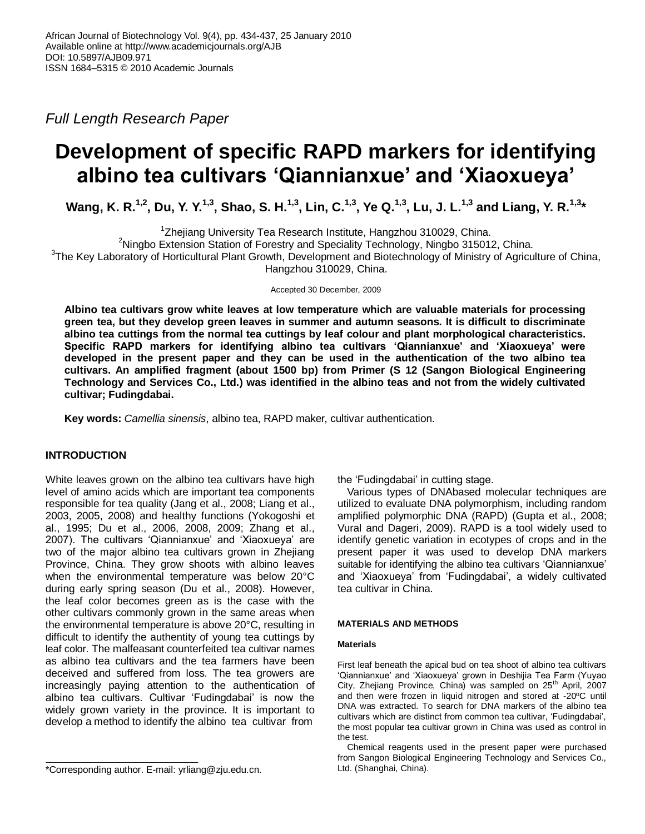*Full Length Research Paper*

# **Development of specific RAPD markers for identifying albino tea cultivars 'Qiannianxue' and 'Xiaoxueya'**

**Wang, K. R.1,2, Du, Y. Y.1,3, Shao, S. H.1,3, Lin, C.1,3, Ye Q.1,3, Lu, J. L.1,3 and Liang, Y. R.1,3\***

<sup>1</sup>Zhejiang University Tea Research Institute, Hangzhou 310029, China.

<sup>2</sup>Ningbo Extension Station of Forestry and Speciality Technology, Ningbo 315012, China.

<sup>3</sup>The Key Laboratory of Horticultural Plant Growth, Development and Biotechnology of Ministry of Agriculture of China, Hangzhou 310029, China.

Accepted 30 December, 2009

**Albino tea cultivars grow white leaves at low temperature which are valuable materials for processing green tea, but they develop green leaves in summer and autumn seasons. It is difficult to discriminate albino tea cuttings from the normal tea cuttings by leaf colour and plant morphological characteristics. Specific RAPD markers for identifying albino tea cultivars 'Qiannianxue' and 'Xiaoxueya' were developed in the present paper and they can be used in the authentication of the two albino tea cultivars. An amplified fragment (about 1500 bp) from Primer (S 12 (Sangon Biological Engineering Technology and Services Co., Ltd.) was identified in the albino teas and not from the widely cultivated cultivar; Fudingdabai.**

**Key words:** *Camellia sinensis*, albino tea, RAPD maker, cultivar authentication.

## **INTRODUCTION**

White leaves grown on the albino tea cultivars have high level of amino acids which are important tea components responsible for tea quality (Jang et al., 2008; Liang et al., 2003, 2005, 2008) and healthy functions (Yokogoshi et al., 1995; Du et al., 2006, 2008, 2009; Zhang et al., 2007). The cultivars 'Qiannianxue' and 'Xiaoxueya' are two of the major albino tea cultivars grown in Zhejiang Province, China. They grow shoots with albino leaves when the environmental temperature was below 20°C during early spring season (Du et al., 2008). However, the leaf color becomes green as is the case with the other cultivars commonly grown in the same areas when the environmental temperature is above 20°C, resulting in difficult to identify the authentity of young tea cuttings by leaf color. The malfeasant counterfeited tea cultivar names as albino tea cultivars and the tea farmers have been deceived and suffered from loss. The tea growers are increasingly paying attention to the authentication of albino tea cultivars. Cultivar 'Fudingdabai' is now the widely grown variety in the province. It is important to develop a method to identify the albino tea cultivar from

the 'Fudingdabai' in cutting stage.

Various types of DNAbased molecular techniques are utilized to evaluate DNA polymorphism, including random amplified polymorphic DNA (RAPD) (Gupta et al., 2008; Vural and Dageri, 2009). RAPD is a tool widely used to identify genetic variation in ecotypes of crops and in the present paper it was used to develop DNA markers suitable for identifying the albino tea cultivars 'Qiannianxue' and 'Xiaoxueya' from 'Fudingdabai', a widely cultivated tea cultivar in China.

## **MATERIALS AND METHODS**

## **Materials**

First leaf beneath the apical bud on tea shoot of albino tea cultivars 'Qiannianxue' and 'Xiaoxueya' grown in Deshijia Tea Farm (Yuyao City, Zhejiang Province, China) was sampled on 25<sup>th</sup> April, 2007 and then were frozen in liquid nitrogen and stored at -20ºC until DNA was extracted. To search for DNA markers of the albino tea cultivars which are distinct from common tea cultivar, 'Fudingdabai', the most popular tea cultivar grown in China was used as control in the test.

Chemical reagents used in the present paper were purchased from Sangon Biological Engineering Technology and Services Co., Ltd. (Shanghai, China).

<sup>\*</sup>Corresponding author. E-mail: yrliang@zju.edu.cn.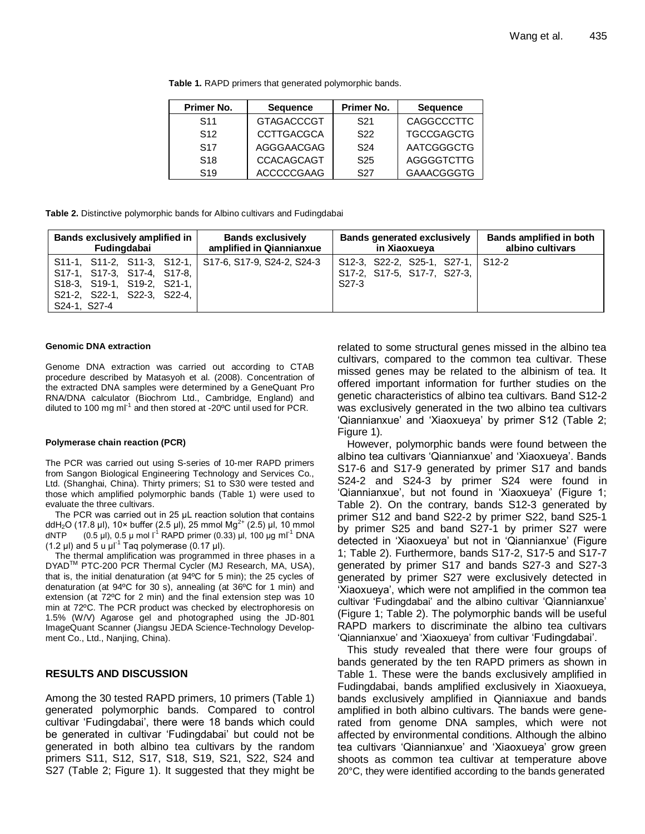| Primer No.            | <b>Sequence</b>   | Primer No.      | <b>Sequence</b>   |
|-----------------------|-------------------|-----------------|-------------------|
| S <sub>11</sub>       | <b>GTAGACCCGT</b> | S <sub>21</sub> | CAGGCCCTTC        |
| S <sub>12</sub>       | <b>CCTTGACGCA</b> | S <sub>22</sub> | <b>TGCCGAGCTG</b> |
| <b>S<sub>17</sub></b> | AGGGAACGAG        | S <sub>24</sub> | AATCGGGCTG        |
| <b>S<sub>18</sub></b> | <b>CCACAGCAGT</b> | S <sub>25</sub> | AGGGGTCTTG        |
| S <sub>19</sub>       | <b>ACCCCCGAAG</b> | S27             | <b>GAAACGGGTG</b> |

**Table 1.** RAPD primers that generated polymorphic bands.

**Table 2.** Distinctive polymorphic bands for Albino cultivars and Fudingdabai

| Bands exclusively amplified in                                                                                                                                      | <b>Bands exclusively</b> | <b>Bands generated exclusively</b>                                                     | Bands amplified in both |
|---------------------------------------------------------------------------------------------------------------------------------------------------------------------|--------------------------|----------------------------------------------------------------------------------------|-------------------------|
| Fudingdabai                                                                                                                                                         | amplified in Qiannianxue | in Xiaoxueya                                                                           | albino cultivars        |
| S11-1, S11-2, S11-3, S12-1, S17-6, S17-9, S24-2, S24-3<br>S17-1, S17-3, S17-4, S17-8,<br>S18-3, S19-1, S19-2, S21-1,<br>S21-2, S22-1, S22-3, S22-4,<br>S24-1, S27-4 |                          | S12-3, S22-2, S25-1, S27-1, S12-2<br>S17-2, S17-5, S17-7, S27-3,<br>S <sub>27</sub> -3 |                         |

#### **Genomic DNA extraction**

Genome DNA extraction was carried out according to CTAB procedure described by Matasyoh et al. (2008). Concentration of the extracted DNA samples were determined by a GeneQuant Pro RNA/DNA calculator (Biochrom Ltd., Cambridge, England) and diluted to 100 mg ml<sup>-1</sup> and then stored at -20 $\degree$ C until used for PCR.

#### **Polymerase chain reaction (PCR)**

The PCR was carried out using S-series of 10-mer RAPD primers from Sangon Biological Engineering Technology and Services Co., Ltd. (Shanghai, China). Thirty primers; S1 to S30 were tested and those which amplified polymorphic bands (Table 1) were used to evaluate the three cultivars.

The PCR was carried out in 25 μL reaction solution that contains ddH<sub>2</sub>O (17.8 μl), 10× buffer (2.5 μl), 25 mmol Mg<sup>2+</sup> (2.5) μl, 10 mmol dNTP  $(0.5 \mu I)$ ,  $0.5 \mu$  mol l<sup>-1</sup> RAPD primer (0.33) μl, 100 μg ml<sup>-1</sup> DNA (1.2  $\mu$ I) and 5 u  $\mu$ I<sup>-1</sup> Taq polymerase (0.17  $\mu$ I).

The thermal amplification was programmed in three phases in a DYADTM PTC-200 PCR Thermal Cycler (MJ Research, MA, USA), that is, the initial denaturation (at 94ºC for 5 min); the 25 cycles of denaturation (at 94ºC for 30 s), annealing (at 36ºC for 1 min) and extension (at 72ºC for 2 min) and the final extension step was 10 min at 72ºC. The PCR product was checked by electrophoresis on 1.5% (W/V) Agarose gel and photographed using the JD-801 ImageQuant Scanner (Jiangsu JEDA Science-Technology Development Co., Ltd., Nanjing, China).

## **RESULTS AND DISCUSSION**

Among the 30 tested RAPD primers, 10 primers (Table 1) generated polymorphic bands. Compared to control cultivar 'Fudingdabai', there were 18 bands which could be generated in cultivar 'Fudingdabai' but could not be generated in both albino tea cultivars by the random primers S11, S12, S17, S18, S19, S21, S22, S24 and S27 (Table 2; Figure 1). It suggested that they might be related to some structural genes missed in the albino tea cultivars, compared to the common tea cultivar. These missed genes may be related to the albinism of tea. It offered important information for further studies on the genetic characteristics of albino tea cultivars. Band S12-2 was exclusively generated in the two albino tea cultivars 'Qiannianxue' and 'Xiaoxueya' by primer S12 (Table 2; Figure 1).

However, polymorphic bands were found between the albino tea cultivars 'Qiannianxue' and 'Xiaoxueya'. Bands S17-6 and S17-9 generated by primer S17 and bands S24-2 and S24-3 by primer S24 were found in 'Qiannianxue', but not found in 'Xiaoxueya' (Figure 1; Table 2). On the contrary, bands S12-3 generated by primer S12 and band S22-2 by primer S22, band S25-1 by primer S25 and band S27-1 by primer S27 were detected in 'Xiaoxueya' but not in 'Qiannianxue' (Figure 1; Table 2). Furthermore, bands S17-2, S17-5 and S17-7 generated by primer S17 and bands S27-3 and S27-3 generated by primer S27 were exclusively detected in 'Xiaoxueya', which were not amplified in the common tea cultivar 'Fudingdabai' and the albino cultivar 'Qiannianxue' (Figure 1; Table 2). The polymorphic bands will be useful RAPD markers to discriminate the albino tea cultivars 'Qiannianxue' and 'Xiaoxueya' from cultivar 'Fudingdabai'.

This study revealed that there were four groups of bands generated by the ten RAPD primers as shown in Table 1. These were the bands exclusively amplified in Fudingdabai, bands amplified exclusively in Xiaoxueya, bands exclusively amplified in Qianniaxue and bands amplified in both albino cultivars. The bands were generated from genome DNA samples, which were not affected by environmental conditions. Although the albino tea cultivars 'Qiannianxue' and 'Xiaoxueya' grow green shoots as common tea cultivar at temperature above 20°C, they were identified according to the bands generated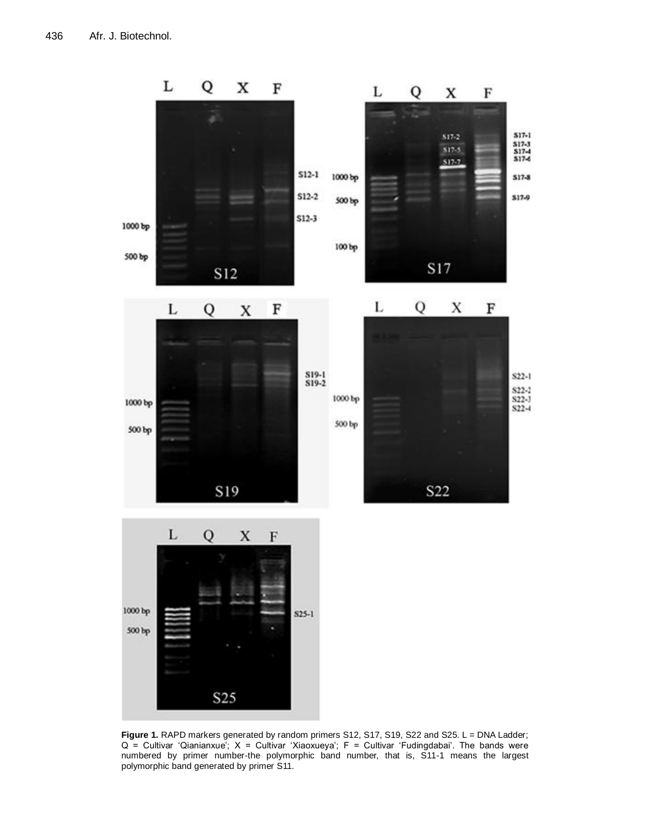

Figure 1. RAPD markers generated by random primers S12, S17, S19, S22 and S25. L = DNA Ladder;  $Q =$  Cultivar 'Qianianxue';  $X =$  Cultivar 'Xiaoxueya';  $F =$  Cultivar 'Fudingdabai'. The bands were numbered by primer number-the polymorphic band number, that is, S11-1 means the largest polymorphic band generated by primer S11.